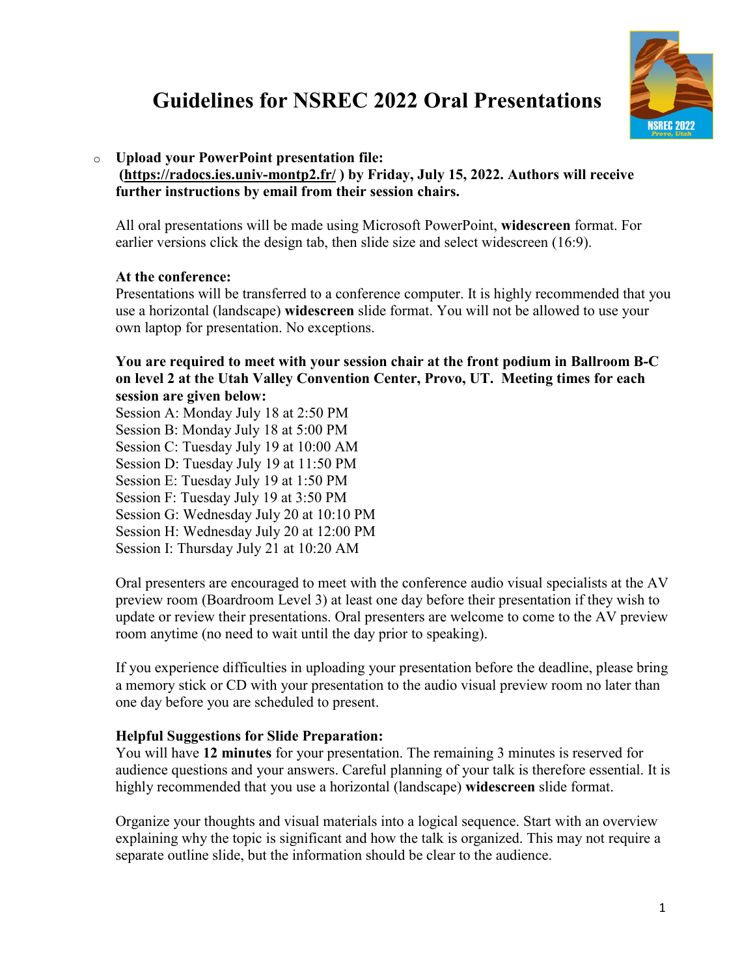

## **Guidelines for NSREC 2022 Oral Presentations**

### o **Upload your PowerPoint presentation file:**

 **[\(https://radocs.ies.univ-montp2.fr/](https://radocs.ies.univ-montp2.fr/index.php) ) by Friday, July 15, 2022. Authors will receive further instructions by email from their session chairs.**

All oral presentations will be made using Microsoft PowerPoint, **widescreen** format. For earlier versions click the design tab, then slide size and select widescreen (16:9).

### **At the conference:**

Presentations will be transferred to a conference computer. It is highly recommended that you use a horizontal (landscape) **widescreen** slide format. You will not be allowed to use your own laptop for presentation. No exceptions.

**You are required to meet with your session chair at the front podium in Ballroom B-C on level 2 at the Utah Valley Convention Center, Provo, UT. Meeting times for each session are given below:**

Session A: Monday July 18 at 2:50 PM Session B: Monday July 18 at 5:00 PM Session C: Tuesday July 19 at 10:00 AM Session D: Tuesday July 19 at 11:50 PM Session E: Tuesday July 19 at 1:50 PM Session F: Tuesday July 19 at 3:50 PM Session G: Wednesday July 20 at 10:10 PM Session H: Wednesday July 20 at 12:00 PM Session I: Thursday July 21 at 10:20 AM

Oral presenters are encouraged to meet with the conference audio visual specialists at the AV preview room (Boardroom Level 3) at least one day before their presentation if they wish to update or review their presentations. Oral presenters are welcome to come to the AV preview room anytime (no need to wait until the day prior to speaking).

If you experience difficulties in uploading your presentation before the deadline, please bring a memory stick or CD with your presentation to the audio visual preview room no later than one day before you are scheduled to present.

### **Helpful Suggestions for Slide Preparation:**

You will have **12 minutes** for your presentation. The remaining 3 minutes is reserved for audience questions and your answers. Careful planning of your talk is therefore essential. It is highly recommended that you use a horizontal (landscape) **widescreen** slide format.

Organize your thoughts and visual materials into a logical sequence. Start with an overview explaining why the topic is significant and how the talk is organized. This may not require a separate outline slide, but the information should be clear to the audience.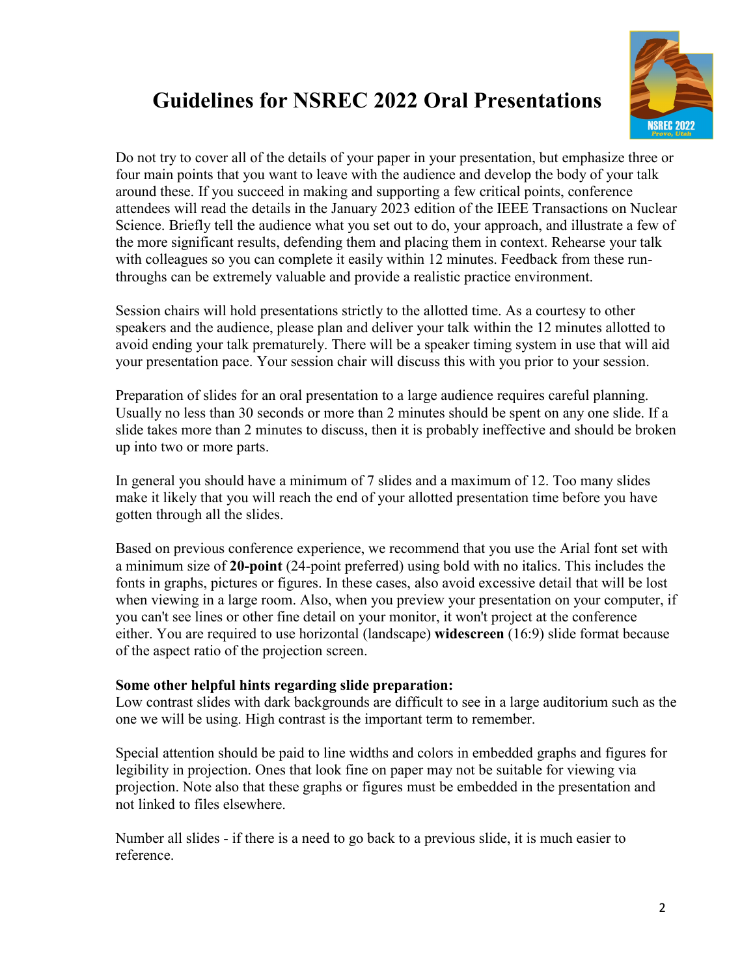

## **Guidelines for NSREC 2022 Oral Presentations**

Do not try to cover all of the details of your paper in your presentation, but emphasize three or four main points that you want to leave with the audience and develop the body of your talk around these. If you succeed in making and supporting a few critical points, conference attendees will read the details in the January 2023 edition of the IEEE Transactions on Nuclear Science. Briefly tell the audience what you set out to do, your approach, and illustrate a few of the more significant results, defending them and placing them in context. Rehearse your talk with colleagues so you can complete it easily within 12 minutes. Feedback from these runthroughs can be extremely valuable and provide a realistic practice environment.

Session chairs will hold presentations strictly to the allotted time. As a courtesy to other speakers and the audience, please plan and deliver your talk within the 12 minutes allotted to avoid ending your talk prematurely. There will be a speaker timing system in use that will aid your presentation pace. Your session chair will discuss this with you prior to your session.

Preparation of slides for an oral presentation to a large audience requires careful planning. Usually no less than 30 seconds or more than 2 minutes should be spent on any one slide. If a slide takes more than 2 minutes to discuss, then it is probably ineffective and should be broken up into two or more parts.

In general you should have a minimum of 7 slides and a maximum of 12. Too many slides make it likely that you will reach the end of your allotted presentation time before you have gotten through all the slides.

Based on previous conference experience, we recommend that you use the Arial font set with a minimum size of **20-point** (24-point preferred) using bold with no italics. This includes the fonts in graphs, pictures or figures. In these cases, also avoid excessive detail that will be lost when viewing in a large room. Also, when you preview your presentation on your computer, if you can't see lines or other fine detail on your monitor, it won't project at the conference either. You are required to use horizontal (landscape) **widescreen** (16:9) slide format because of the aspect ratio of the projection screen.

#### **Some other helpful hints regarding slide preparation:**

Low contrast slides with dark backgrounds are difficult to see in a large auditorium such as the one we will be using. High contrast is the important term to remember.

Special attention should be paid to line widths and colors in embedded graphs and figures for legibility in projection. Ones that look fine on paper may not be suitable for viewing via projection. Note also that these graphs or figures must be embedded in the presentation and not linked to files elsewhere.

Number all slides - if there is a need to go back to a previous slide, it is much easier to reference.